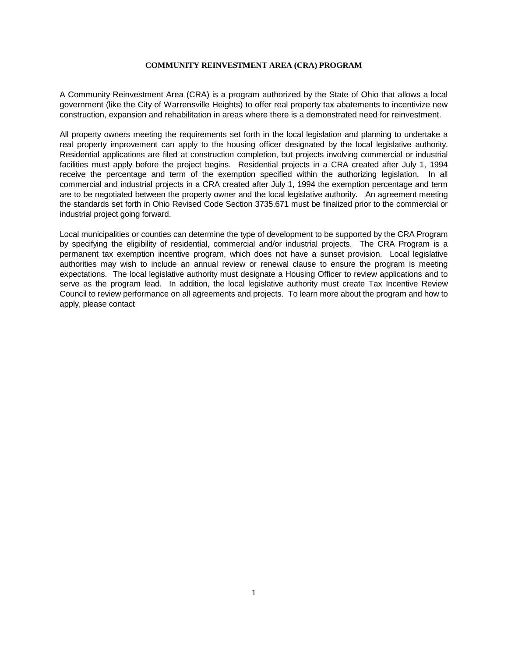A Community Reinvestment Area (CRA) is a program authorized by the State of Ohio that allows a local government (like the City of Warrensville Heights) to offer real property tax abatements to incentivize new construction, expansion and rehabilitation in areas where there is a demonstrated need for reinvestment.

All property owners meeting the requirements set forth in the local legislation and planning to undertake a real property improvement can apply to the housing officer designated by the local legislative authority. Residential applications are filed at construction completion, but projects involving commercial or industrial facilities must apply before the project begins. Residential projects in a CRA created after July 1, 1994 receive the percentage and term of the exemption specified within the authorizing legislation. In all commercial and industrial projects in a CRA created after July 1, 1994 the exemption percentage and term are to be negotiated between the property owner and the local legislative authority. An agreement meeting the standards set forth in Ohio Revised Code Section 3735.671 must be finalized prior to the commercial or industrial project going forward.

Local municipalities or counties can determine the type of development to be supported by the CRA Program by specifying the eligibility of residential, commercial and/or industrial projects. The CRA Program is a permanent tax exemption incentive program, which does not have a sunset provision. Local legislative authorities may wish to include an annual review or renewal clause to ensure the program is meeting expectations. The local legislative authority must designate a Housing Officer to review applications and to serve as the program lead. In addition, the local legislative authority must create Tax Incentive Review Council to review performance on all agreements and projects. To learn more about the program and how to apply, please contact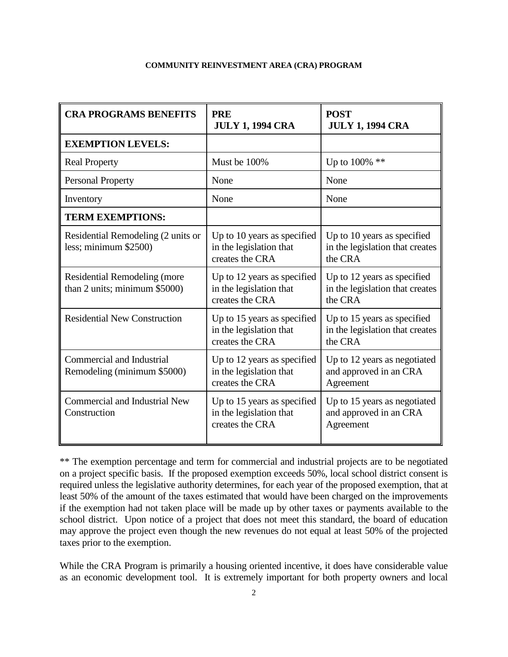| <b>CRA PROGRAMS BENEFITS</b>                                  | <b>PRE</b><br><b>JULY 1, 1994 CRA</b>                                     | <b>POST</b><br><b>JULY 1, 1994 CRA</b>                                    |
|---------------------------------------------------------------|---------------------------------------------------------------------------|---------------------------------------------------------------------------|
| <b>EXEMPTION LEVELS:</b>                                      |                                                                           |                                                                           |
| <b>Real Property</b>                                          | Must be 100%                                                              | Up to $100\%$ **                                                          |
| <b>Personal Property</b>                                      | None                                                                      | None                                                                      |
| Inventory                                                     | None                                                                      | None                                                                      |
| <b>TERM EXEMPTIONS:</b>                                       |                                                                           |                                                                           |
| Residential Remodeling (2 units or<br>less; minimum \$2500)   | Up to 10 years as specified<br>in the legislation that<br>creates the CRA | Up to 10 years as specified<br>in the legislation that creates<br>the CRA |
| Residential Remodeling (more<br>than 2 units; minimum \$5000) | Up to 12 years as specified<br>in the legislation that<br>creates the CRA | Up to 12 years as specified<br>in the legislation that creates<br>the CRA |
| <b>Residential New Construction</b>                           | Up to 15 years as specified<br>in the legislation that<br>creates the CRA | Up to 15 years as specified<br>in the legislation that creates<br>the CRA |
| Commercial and Industrial<br>Remodeling (minimum \$5000)      | Up to 12 years as specified<br>in the legislation that<br>creates the CRA | Up to 12 years as negotiated<br>and approved in an CRA<br>Agreement       |
| <b>Commercial and Industrial New</b><br>Construction          | Up to 15 years as specified<br>in the legislation that<br>creates the CRA | Up to 15 years as negotiated<br>and approved in an CRA<br>Agreement       |

\*\* The exemption percentage and term for commercial and industrial projects are to be negotiated on a project specific basis. If the proposed exemption exceeds 50%, local school district consent is required unless the legislative authority determines, for each year of the proposed exemption, that at least 50% of the amount of the taxes estimated that would have been charged on the improvements if the exemption had not taken place will be made up by other taxes or payments available to the school district. Upon notice of a project that does not meet this standard, the board of education may approve the project even though the new revenues do not equal at least 50% of the projected taxes prior to the exemption.

While the CRA Program is primarily a housing oriented incentive, it does have considerable value as an economic development tool. It is extremely important for both property owners and local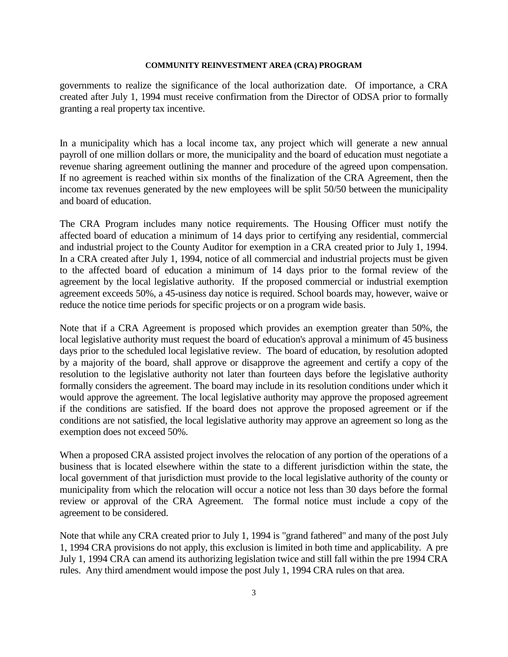governments to realize the significance of the local authorization date. Of importance, a CRA created after July 1, 1994 must receive confirmation from the Director of ODSA prior to formally granting a real property tax incentive.

In a municipality which has a local income tax, any project which will generate a new annual payroll of one million dollars or more, the municipality and the board of education must negotiate a revenue sharing agreement outlining the manner and procedure of the agreed upon compensation. If no agreement is reached within six months of the finalization of the CRA Agreement, then the income tax revenues generated by the new employees will be split 50/50 between the municipality and board of education.

The CRA Program includes many notice requirements. The Housing Officer must notify the affected board of education a minimum of 14 days prior to certifying any residential, commercial and industrial project to the County Auditor for exemption in a CRA created prior to July 1, 1994. In a CRA created after July 1, 1994, notice of all commercial and industrial projects must be given to the affected board of education a minimum of 14 days prior to the formal review of the agreement by the local legislative authority. If the proposed commercial or industrial exemption agreement exceeds 50%, a 45-usiness day notice is required. School boards may, however, waive or reduce the notice time periods for specific projects or on a program wide basis.

Note that if a CRA Agreement is proposed which provides an exemption greater than 50%, the local legislative authority must request the board of education's approval a minimum of 45 business days prior to the scheduled local legislative review. The board of education, by resolution adopted by a majority of the board, shall approve or disapprove the agreement and certify a copy of the resolution to the legislative authority not later than fourteen days before the legislative authority formally considers the agreement. The board may include in its resolution conditions under which it would approve the agreement. The local legislative authority may approve the proposed agreement if the conditions are satisfied. If the board does not approve the proposed agreement or if the conditions are not satisfied, the local legislative authority may approve an agreement so long as the exemption does not exceed 50%.

When a proposed CRA assisted project involves the relocation of any portion of the operations of a business that is located elsewhere within the state to a different jurisdiction within the state, the local government of that jurisdiction must provide to the local legislative authority of the county or municipality from which the relocation will occur a notice not less than 30 days before the formal review or approval of the CRA Agreement. The formal notice must include a copy of the agreement to be considered.

Note that while any CRA created prior to July 1, 1994 is "grand fathered" and many of the post July 1, 1994 CRA provisions do not apply, this exclusion is limited in both time and applicability. A pre July 1, 1994 CRA can amend its authorizing legislation twice and still fall within the pre 1994 CRA rules. Any third amendment would impose the post July 1, 1994 CRA rules on that area.